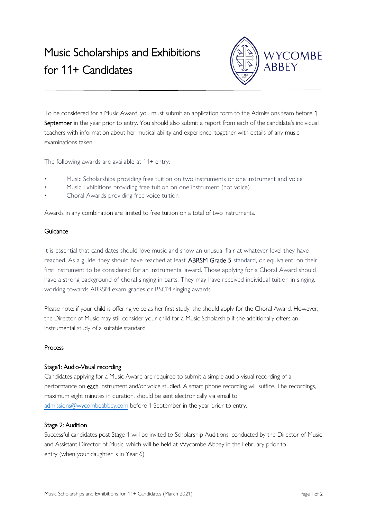

To be considered for a Music Award, you must submit an application form to the Admissions team before 1 September in the year prior to entry. You should also submit a report from each of the candidate's individual teachers with information about her musical ability and experience, together with details of any music examinations taken.

The following awards are available at 11+ entry:

- Music Scholarships providing free tuition on two instruments or one instrument and voice
- Music Exhibitions providing free tuition on one instrument (not voice)
- Choral Awards providing free voice tuition

Awards in any combination are limited to free tuition on a total of two instruments.

## Guidance

It is essential that candidates should love music and show an unusual flair at whatever level they have reached. As a guide, they should have reached at least ABRSM Grade 5 standard, or equivalent, on their first instrument to be considered for an instrumental award. Those applying for a Choral Award should have a strong background of choral singing in parts. They may have received individual tuition in singing, working towards ABRSM exam grades or RSCM singing awards.

Please note: if your child is offering voice as her first study, she should apply for the Choral Award. However, the Director of Music may still consider your child for a Music Scholarship if she additionally offers an instrumental study of a suitable standard.

#### Process

# Stage1: Audio-Visual recording

Candidates applying for a Music Award are required to submit a simple audio-visual recording of a performance on each instrument and/or voice studied. A smart phone recording will suffice. The recordings, maximum eight minutes in duration, should be sent electronically via email to [admissions@wycombeabbey.com](mailto:admissions@wycombeabbey.com) before 1 September in the year prior to entry.

#### Stage 2: Audition

Successful candidates post Stage 1 will be invited to Scholarship Auditions, conducted by the Director of Music and Assistant Director of Music, which will be held at Wycombe Abbey in the February prior to entry (when your daughter is in Year 6).